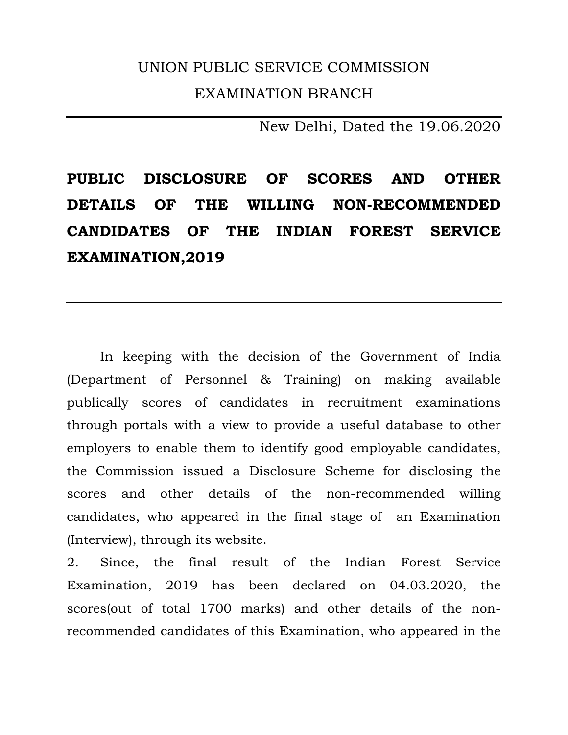## UNION PUBLIC SERVICE COMMISSION EXAMINATION BRANCH

New Delhi, Dated the 19.06.2020

**PUBLIC DISCLOSURE OF SCORES AND OTHER DETAILS OF THE WILLING NON-RECOMMENDED CANDIDATES OF THE INDIAN FOREST SERVICE EXAMINATION,2019** 

 In keeping with the decision of the Government of India (Department of Personnel & Training) on making available publically scores of candidates in recruitment examinations through portals with a view to provide a useful database to other employers to enable them to identify good employable candidates, the Commission issued a Disclosure Scheme for disclosing the scores and other details of the non-recommended willing candidates, who appeared in the final stage of an Examination (Interview), through its website.

2. Since, the final result of the Indian Forest Service Examination, 2019 has been declared on 04.03.2020, the scores(out of total 1700 marks) and other details of the nonrecommended candidates of this Examination, who appeared in the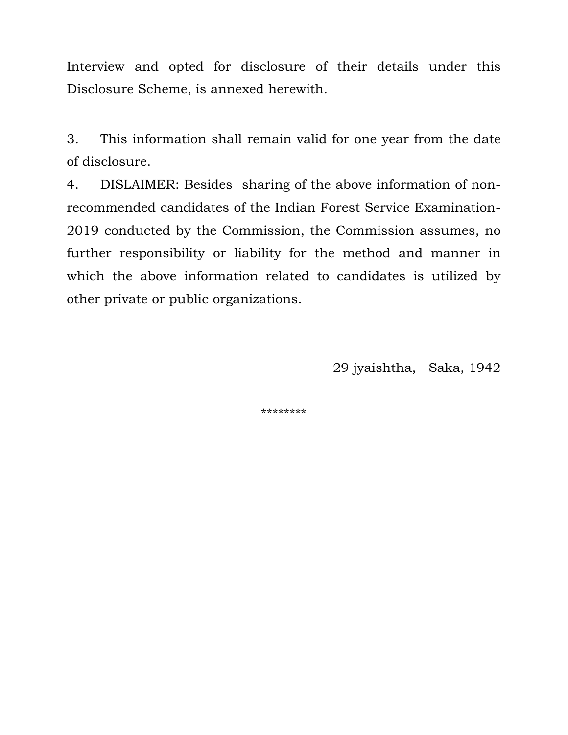Interview and opted for disclosure of their details under this Disclosure Scheme, is annexed herewith.

3. This information shall remain valid for one year from the date of disclosure.

4. DISLAIMER: Besides sharing of the above information of nonrecommended candidates of the Indian Forest Service Examination-2019 conducted by the Commission, the Commission assumes, no further responsibility or liability for the method and manner in which the above information related to candidates is utilized by other private or public organizations.

29 jyaishtha, Saka, 1942

\*\*\*\*\*\*\*\*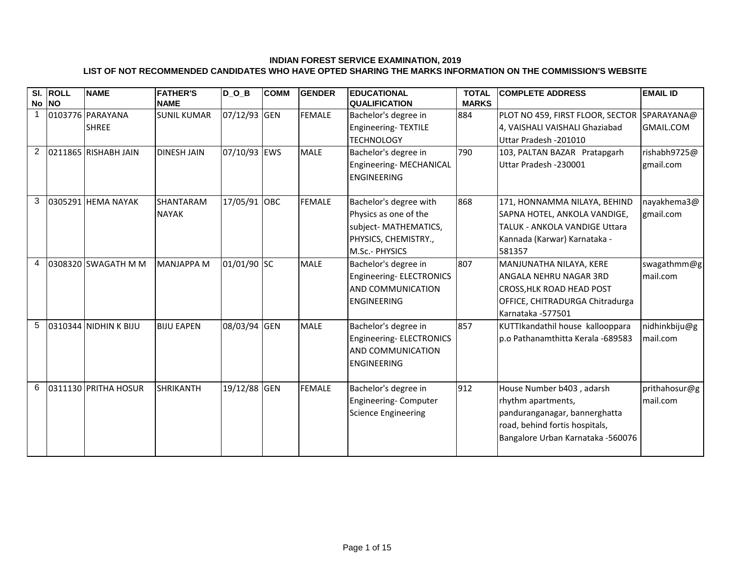## **INDIAN FOREST SERVICE EXAMINATION, 2019 LIST OF NOT RECOMMENDED CANDIDATES WHO HAVE OPTED SHARING THE MARKS INFORMATION ON THE COMMISSION'S WEBSITE**

|                | SI. ROLL | <b>NAME</b>           | <b>FATHER'S</b>    | $D_0_B$      | <b>COMM</b> | <b>GENDER</b> | <b>EDUCATIONAL</b>         | <b>TOTAL</b> | <b>COMPLETE ADDRESS</b>                     | <b>EMAIL ID</b>  |
|----------------|----------|-----------------------|--------------------|--------------|-------------|---------------|----------------------------|--------------|---------------------------------------------|------------------|
|                | No NO    |                       | <b>NAME</b>        |              |             |               | <b>QUALIFICATION</b>       | <b>MARKS</b> |                                             |                  |
| $\mathbf{1}$   |          | 0103776 PARAYANA      | <b>SUNIL KUMAR</b> | 07/12/93 GEN |             | <b>FEMALE</b> | Bachelor's degree in       | 884          | PLOT NO 459, FIRST FLOOR, SECTOR SPARAYANA@ |                  |
|                |          | <b>SHREE</b>          |                    |              |             |               | Engineering-TEXTILE        |              | 4, VAISHALI VAISHALI Ghaziabad              | <b>GMAIL.COM</b> |
|                |          |                       |                    |              |             |               | <b>TECHNOLOGY</b>          |              | Uttar Pradesh - 201010                      |                  |
| $\overline{2}$ |          | 0211865 RISHABH JAIN  | <b>DINESH JAIN</b> | 07/10/93 EWS |             | <b>MALE</b>   | Bachelor's degree in       | 790          | 103, PALTAN BAZAR Pratapgarh                | rishabh9725@     |
|                |          |                       |                    |              |             |               | Engineering-MECHANICAL     |              | Uttar Pradesh -230001                       | gmail.com        |
|                |          |                       |                    |              |             |               | <b>ENGINEERING</b>         |              |                                             |                  |
|                |          |                       |                    |              |             |               |                            |              |                                             |                  |
| 3              |          | 0305291 HEMA NAYAK    | SHANTARAM          | 17/05/91 OBC |             | <b>FEMALE</b> | Bachelor's degree with     | 868          | 171, HONNAMMA NILAYA, BEHIND                | nayakhema3@      |
|                |          |                       | <b>NAYAK</b>       |              |             |               | Physics as one of the      |              | SAPNA HOTEL, ANKOLA VANDIGE,                | gmail.com        |
|                |          |                       |                    |              |             |               | subject- MATHEMATICS,      |              | <b>TALUK - ANKOLA VANDIGE Uttara</b>        |                  |
|                |          |                       |                    |              |             |               | PHYSICS, CHEMISTRY.,       |              | Kannada (Karwar) Karnataka -                |                  |
|                |          |                       |                    |              |             |               | M.Sc.- PHYSICS             |              | 581357                                      |                  |
| 4              |          | 0308320 SWAGATH M M   | <b>MANJAPPA M</b>  | 01/01/90 SC  |             | <b>MALE</b>   | Bachelor's degree in       | 807          | MANJUNATHA NILAYA, KERE                     | swagathmm@g      |
|                |          |                       |                    |              |             |               | Engineering- ELECTRONICS   |              | IANGALA NEHRU NAGAR 3RD                     | mail.com         |
|                |          |                       |                    |              |             |               | AND COMMUNICATION          |              | <b>CROSS, HLK ROAD HEAD POST</b>            |                  |
|                |          |                       |                    |              |             |               | <b>ENGINEERING</b>         |              | OFFICE, CHITRADURGA Chitradurga             |                  |
|                |          |                       |                    |              |             |               |                            |              | Karnataka - 577501                          |                  |
| 5              |          | 0310344 NIDHIN K BIJU | <b>BIJU EAPEN</b>  | 08/03/94 GEN |             | <b>MALE</b>   | Bachelor's degree in       | 857          | KUTTIkandathil house kallooppara            | nidhinkbiju@g    |
|                |          |                       |                    |              |             |               | Engineering- ELECTRONICS   |              | p.o Pathanamthitta Kerala -689583           | mail.com         |
|                |          |                       |                    |              |             |               | AND COMMUNICATION          |              |                                             |                  |
|                |          |                       |                    |              |             |               | <b>ENGINEERING</b>         |              |                                             |                  |
|                |          |                       |                    |              |             |               |                            |              |                                             |                  |
| 6              |          | 0311130 PRITHA HOSUR  | <b>SHRIKANTH</b>   | 19/12/88 GEN |             | <b>FEMALE</b> | Bachelor's degree in       | 912          | House Number b403, adarsh                   | prithahosur@g    |
|                |          |                       |                    |              |             |               | Engineering- Computer      |              | rhythm apartments,                          | mail.com         |
|                |          |                       |                    |              |             |               | <b>Science Engineering</b> |              | panduranganagar, bannerghatta               |                  |
|                |          |                       |                    |              |             |               |                            |              | road, behind fortis hospitals,              |                  |
|                |          |                       |                    |              |             |               |                            |              | Bangalore Urban Karnataka -560076           |                  |
|                |          |                       |                    |              |             |               |                            |              |                                             |                  |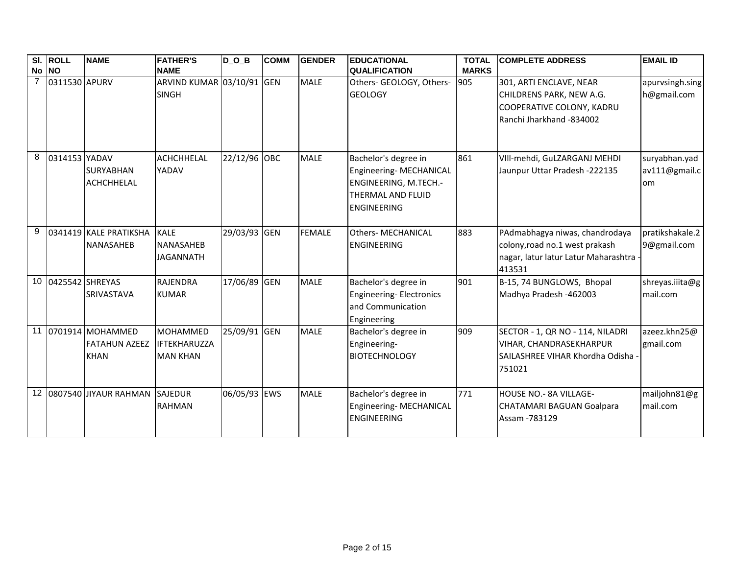|                | SI. ROLL           | <b>NAME</b>                                                | <b>FATHER'S</b>                                           | $D_0_B$      | <b>COMM</b> | <b>GENDER</b> | <b>EDUCATIONAL</b>                                                                                                         | <b>TOTAL</b> | <b>COMPLETE ADDRESS</b>                                                                                              | <b>EMAIL ID</b>                      |
|----------------|--------------------|------------------------------------------------------------|-----------------------------------------------------------|--------------|-------------|---------------|----------------------------------------------------------------------------------------------------------------------------|--------------|----------------------------------------------------------------------------------------------------------------------|--------------------------------------|
|                | No NO              |                                                            | <b>NAME</b>                                               |              |             |               | <b>QUALIFICATION</b>                                                                                                       | <b>MARKS</b> |                                                                                                                      |                                      |
| $\overline{7}$ | 0311530 APURV      |                                                            | ARVIND KUMAR 03/10/91 GEN<br><b>SINGH</b>                 |              |             | <b>MALE</b>   | Others- GEOLOGY, Others-<br><b>GEOLOGY</b>                                                                                 | 905          | 301, ARTI ENCLAVE, NEAR<br>CHILDRENS PARK, NEW A.G.<br>COOPERATIVE COLONY, KADRU<br>Ranchi Jharkhand -834002         | apurvsingh.sing<br>h@gmail.com       |
| 8              | 0314153 YADAV      | <b>SURYABHAN</b><br><b>ACHCHHELAL</b>                      | ACHCHHELAL<br><b>YADAV</b>                                | 22/12/96 OBC |             | <b>MALE</b>   | Bachelor's degree in<br>Engineering- MECHANICAL<br>ENGINEERING, M.TECH.-<br><b>THERMAL AND FLUID</b><br><b>ENGINEERING</b> | 861          | VIII-mehdi, GuLZARGANJ MEHDI<br>Jaunpur Uttar Pradesh -222135                                                        | suryabhan.yad<br>av111@gmail.c<br>om |
| 9              |                    | 0341419 KALE PRATIKSHA<br><b>NANASAHEB</b>                 | <b>KALE</b><br><b>NANASAHEB</b><br><b>JAGANNATH</b>       | 29/03/93 GEN |             | <b>FEMALE</b> | <b>Others- MECHANICAL</b><br><b>ENGINEERING</b>                                                                            | 883          | PAdmabhagya niwas, chandrodaya<br>colony, road no.1 west prakash<br>nagar, latur latur Latur Maharashtra -<br>413531 | pratikshakale.2<br>9@gmail.com       |
|                | 10 0425542 SHREYAS | <b>SRIVASTAVA</b>                                          | <b>RAJENDRA</b><br><b>KUMAR</b>                           | 17/06/89 GEN |             | <b>MALE</b>   | Bachelor's degree in<br><b>Engineering-Electronics</b><br>and Communication<br>Engineering                                 | 901          | B-15, 74 BUNGLOWS, Bhopal<br>Madhya Pradesh -462003                                                                  | shreyas.iiita@g<br>mail.com          |
|                |                    | 11 0701914 MOHAMMED<br><b>FATAHUN AZEEZ</b><br><b>KHAN</b> | <b>MOHAMMED</b><br><b>IFTEKHARUZZA</b><br><b>MAN KHAN</b> | 25/09/91 GEN |             | <b>MALE</b>   | Bachelor's degree in<br>Engineering-<br><b>BIOTECHNOLOGY</b>                                                               | 909          | SECTOR - 1, QR NO - 114, NILADRI<br><b>VIHAR, CHANDRASEKHARPUR</b><br>SAILASHREE VIHAR Khordha Odisha -<br>751021    | azeez.khn25@<br>gmail.com            |
|                |                    | 12 0807540 JIYAUR RAHMAN                                   | SAJEDUR<br><b>RAHMAN</b>                                  | 06/05/93 EWS |             | <b>MALE</b>   | Bachelor's degree in<br>Engineering- MECHANICAL<br><b>ENGINEERING</b>                                                      | 771          | HOUSE NO.- 8A VILLAGE-<br>CHATAMARI BAGUAN Goalpara<br>Assam - 783129                                                | mailjohn81@g<br>mail.com             |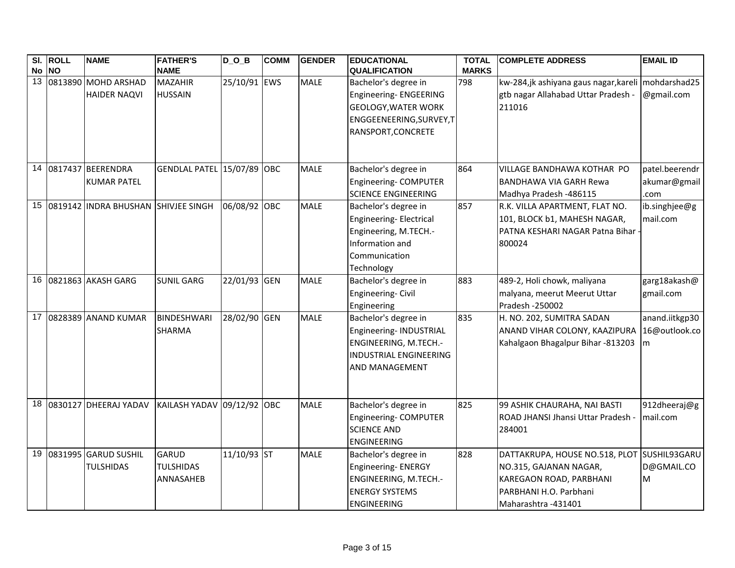|                 | SI. ROLL | <b>NAME</b>                                | <b>FATHER'S</b>                               | $D_0_B$      | <b>COMM</b> | <b>GENDER</b> | <b>EDUCATIONAL</b>                                                                                                             | <b>TOTAL</b> | <b>COMPLETE ADDRESS</b>                                                                                                                           | <b>EMAIL ID</b>                        |
|-----------------|----------|--------------------------------------------|-----------------------------------------------|--------------|-------------|---------------|--------------------------------------------------------------------------------------------------------------------------------|--------------|---------------------------------------------------------------------------------------------------------------------------------------------------|----------------------------------------|
|                 | No NO    |                                            | <b>NAME</b>                                   |              |             |               | <b>QUALIFICATION</b>                                                                                                           | <b>MARKS</b> |                                                                                                                                                   |                                        |
| $\overline{13}$ |          | 0813890 MOHD ARSHAD<br><b>HAIDER NAQVI</b> | <b>MAZAHIR</b><br><b>HUSSAIN</b>              | 25/10/91 EWS |             | <b>MALE</b>   | Bachelor's degree in<br>Engineering- ENGEERING<br><b>GEOLOGY, WATER WORK</b><br>ENGGEENEERING, SURVEY, T<br>RANSPORT, CONCRETE | 798          | kw-284,jk ashiyana gaus nagar, kareli   mohdarshad25<br>gtb nagar Allahabad Uttar Pradesh -<br>211016                                             | @gmail.com                             |
|                 |          |                                            |                                               |              |             |               |                                                                                                                                |              |                                                                                                                                                   |                                        |
|                 |          | 14 0817437 BEERENDRA<br><b>KUMAR PATEL</b> | GENDLAL PATEL 15/07/89 OBC                    |              |             | <b>MALE</b>   | Bachelor's degree in<br>Engineering-COMPUTER<br><b>SCIENCE ENGINEERING</b>                                                     | 864          | VILLAGE BANDHAWA KOTHAR PO<br><b>BANDHAWA VIA GARH Rewa</b><br>Madhya Pradesh -486115                                                             | patel.beerendr<br>akumar@gmail<br>.com |
|                 |          | 15 0819142 INDRA BHUSHAN SHIVJEE SINGH     |                                               | 06/08/92 OBC |             | <b>MALE</b>   | Bachelor's degree in<br>Engineering- Electrical<br>Engineering, M.TECH.-<br>Information and<br>Communication<br>Technology     | 857          | R.K. VILLA APARTMENT, FLAT NO.<br>101, BLOCK b1, MAHESH NAGAR,<br>PATNA KESHARI NAGAR Patna Bihar -<br>800024                                     | ib.singhjee@g<br>mail.com              |
|                 |          | 16 0821863 AKASH GARG                      | <b>SUNIL GARG</b>                             | 22/01/93 GEN |             | <b>MALE</b>   | Bachelor's degree in<br>Engineering-Civil<br>Engineering                                                                       | 883          | 489-2, Holi chowk, maliyana<br>malyana, meerut Meerut Uttar<br>Pradesh - 250002                                                                   | garg18akash@<br>gmail.com              |
|                 |          | 17 0828389 ANAND KUMAR                     | <b>BINDESHWARI</b><br><b>SHARMA</b>           | 28/02/90 GEN |             | <b>MALE</b>   | Bachelor's degree in<br>Engineering-INDUSTRIAL<br>ENGINEERING, M.TECH.-<br><b>INDUSTRIAL ENGINEERING</b><br>AND MANAGEMENT     | 835          | H. NO. 202, SUMITRA SADAN<br>ANAND VIHAR COLONY, KAAZIPURA<br>Kahalgaon Bhagalpur Bihar -813203                                                   | anand.iitkgp30<br>16@outlook.co<br>m   |
|                 |          | 18 0830127 DHEERAJ YADAV                   | KAILASH YADAV 09/12/92 OBC                    |              |             | <b>MALE</b>   | Bachelor's degree in<br>Engineering-COMPUTER<br><b>SCIENCE AND</b><br><b>ENGINEERING</b>                                       | 825          | 99 ASHIK CHAURAHA, NAI BASTI<br>ROAD JHANSI Jhansi Uttar Pradesh<br>284001                                                                        | 912dheeraj@g<br>mail.com               |
| 19              |          | 0831995 GARUD SUSHIL<br><b>TULSHIDAS</b>   | <b>GARUD</b><br><b>TULSHIDAS</b><br>ANNASAHEB | 11/10/93 ST  |             | <b>MALE</b>   | Bachelor's degree in<br>Engineering- ENERGY<br>ENGINEERING, M.TECH.-<br><b>ENERGY SYSTEMS</b><br><b>ENGINEERING</b>            | 828          | DATTAKRUPA, HOUSE NO.518, PLOT SUSHIL93GARU<br>NO.315, GAJANAN NAGAR,<br>KAREGAON ROAD, PARBHANI<br>PARBHANI H.O. Parbhani<br>Maharashtra -431401 | D@GMAIL.CO<br>M                        |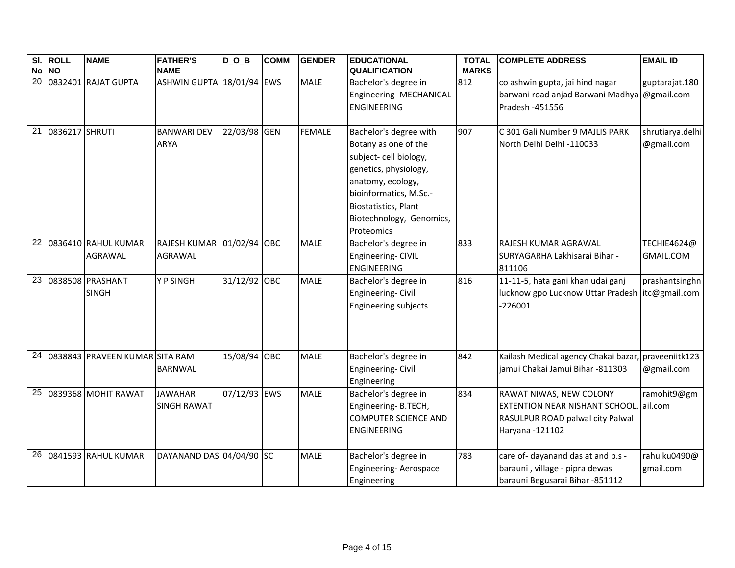|    | SI. ROLL       | <b>NAME</b>                       | <b>FATHER'S</b>           | $D_0_B$      | <b>COMM</b> | <b>GENDER</b> | <b>EDUCATIONAL</b>          | <b>TOTAL</b> | <b>COMPLETE ADDRESS</b>                             | <b>EMAIL ID</b>  |
|----|----------------|-----------------------------------|---------------------------|--------------|-------------|---------------|-----------------------------|--------------|-----------------------------------------------------|------------------|
|    | No NO          |                                   | <b>NAME</b>               |              |             |               | <b>QUALIFICATION</b>        | <b>MARKS</b> |                                                     |                  |
|    |                | 20 0832401 RAJAT GUPTA            | ASHWIN GUPTA 18/01/94 EWS |              |             | <b>MALE</b>   | Bachelor's degree in        | 812          | co ashwin gupta, jai hind nagar                     | guptarajat.180   |
|    |                |                                   |                           |              |             |               | Engineering- MECHANICAL     |              | barwani road anjad Barwani Madhya @gmail.com        |                  |
|    |                |                                   |                           |              |             |               | <b>ENGINEERING</b>          |              | Pradesh -451556                                     |                  |
|    |                |                                   |                           |              |             |               |                             |              |                                                     |                  |
| 21 | 0836217 SHRUTI |                                   | <b>BANWARI DEV</b>        | 22/03/98 GEN |             | <b>FEMALE</b> | Bachelor's degree with      | 907          | C 301 Gali Number 9 MAJLIS PARK                     | shrutiarya.delhi |
|    |                |                                   | <b>ARYA</b>               |              |             |               | Botany as one of the        |              | North Delhi Delhi -110033                           | @gmail.com       |
|    |                |                                   |                           |              |             |               | subject- cell biology,      |              |                                                     |                  |
|    |                |                                   |                           |              |             |               | genetics, physiology,       |              |                                                     |                  |
|    |                |                                   |                           |              |             |               | anatomy, ecology,           |              |                                                     |                  |
|    |                |                                   |                           |              |             |               | bioinformatics, M.Sc.-      |              |                                                     |                  |
|    |                |                                   |                           |              |             |               | <b>Biostatistics, Plant</b> |              |                                                     |                  |
|    |                |                                   |                           |              |             |               | Biotechnology, Genomics,    |              |                                                     |                  |
|    |                |                                   |                           |              |             |               | Proteomics                  |              |                                                     |                  |
| 22 |                | 0836410 RAHUL KUMAR               | RAJESH KUMAR 01/02/94 OBC |              |             | <b>MALE</b>   | Bachelor's degree in        | 833          | RAJESH KUMAR AGRAWAL                                | TECHIE4624@      |
|    |                | <b>AGRAWAL</b>                    | <b>AGRAWAL</b>            |              |             |               | Engineering-CIVIL           |              | SURYAGARHA Lakhisarai Bihar -                       | GMAIL.COM        |
|    |                |                                   |                           |              |             |               | <b>ENGINEERING</b>          |              | 811106                                              |                  |
| 23 |                | 0838508 PRASHANT                  | Y P SINGH                 | 31/12/92 OBC |             | <b>MALE</b>   | Bachelor's degree in        | 816          | 11-11-5, hata gani khan udai ganj                   | prashantsinghn   |
|    |                | <b>SINGH</b>                      |                           |              |             |               | Engineering-Civil           |              | lucknow gpo Lucknow Uttar Pradesh litc@gmail.com    |                  |
|    |                |                                   |                           |              |             |               | Engineering subjects        |              | 226001                                              |                  |
|    |                |                                   |                           |              |             |               |                             |              |                                                     |                  |
|    |                |                                   |                           |              |             |               |                             |              |                                                     |                  |
|    |                |                                   |                           |              |             |               |                             |              |                                                     |                  |
|    |                | 24 0838843 PRAVEEN KUMAR SITA RAM |                           | 15/08/94 OBC |             | <b>MALE</b>   | Bachelor's degree in        | 842          | Kailash Medical agency Chakai bazar, praveeniitk123 |                  |
|    |                |                                   | <b>BARNWAL</b>            |              |             |               | Engineering-Civil           |              | jamui Chakai Jamui Bihar -811303                    | @gmail.com       |
|    |                |                                   |                           |              |             |               | Engineering                 |              |                                                     |                  |
| 25 |                | 0839368 MOHIT RAWAT               | <b>JAWAHAR</b>            | 07/12/93 EWS |             | <b>MALE</b>   | Bachelor's degree in        | 834          | RAWAT NIWAS, NEW COLONY                             | ramohit9@gm      |
|    |                |                                   | <b>SINGH RAWAT</b>        |              |             |               | Engineering-B.TECH,         |              | <b>EXTENTION NEAR NISHANT SCHOOL, ail.com</b>       |                  |
|    |                |                                   |                           |              |             |               | <b>COMPUTER SCIENCE AND</b> |              | RASULPUR ROAD palwal city Palwal                    |                  |
|    |                |                                   |                           |              |             |               | <b>ENGINEERING</b>          |              | Haryana - 121102                                    |                  |
|    |                |                                   |                           |              |             |               |                             |              |                                                     |                  |
|    |                | 26 0841593 RAHUL KUMAR            | DAYANAND DAS 04/04/90 SC  |              |             | <b>MALE</b>   | Bachelor's degree in        | 783          | care of-dayanand das at and p.s -                   | rahulku0490@     |
|    |                |                                   |                           |              |             |               | Engineering-Aerospace       |              | barauni, village - pipra dewas                      | gmail.com        |
|    |                |                                   |                           |              |             |               | Engineering                 |              | barauni Begusarai Bihar -851112                     |                  |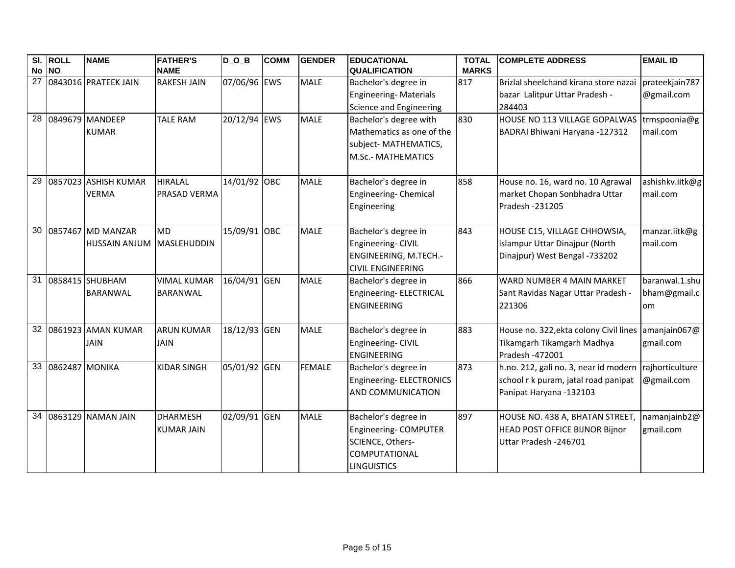|                 | SI. ROLL<br>No NO | <b>NAME</b>                                    | <b>FATHER'S</b><br><b>NAME</b>        | $D_0_B$      | <b>COMM</b> | <b>GENDER</b> | <b>EDUCATIONAL</b><br><b>QUALIFICATION</b>                                                                | <b>TOTAL</b><br><b>MARKS</b> | <b>COMPLETE ADDRESS</b>                                                                                                  | <b>EMAIL ID</b>                      |
|-----------------|-------------------|------------------------------------------------|---------------------------------------|--------------|-------------|---------------|-----------------------------------------------------------------------------------------------------------|------------------------------|--------------------------------------------------------------------------------------------------------------------------|--------------------------------------|
| 27              |                   | 0843016 PRATEEK JAIN                           | <b>RAKESH JAIN</b>                    | 07/06/96 EWS |             | <b>MALE</b>   | Bachelor's degree in<br><b>Engineering- Materials</b><br>Science and Engineering                          | 817                          | Brizlal sheelchand kirana store nazai<br>bazar Lalitpur Uttar Pradesh -<br>284403                                        | prateekjain787<br>@gmail.com         |
| 28              |                   | 0849679 MANDEEP<br><b>KUMAR</b>                | <b>TALE RAM</b>                       | 20/12/94 EWS |             | <b>MALE</b>   | Bachelor's degree with<br>Mathematics as one of the<br>subject- MATHEMATICS,<br><b>M.Sc.- MATHEMATICS</b> | 830                          | HOUSE NO 113 VILLAGE GOPALWAS trmspoonia@g<br>BADRAI Bhiwani Haryana - 127312                                            | mail.com                             |
| $\overline{29}$ |                   | 0857023 ASHISH KUMAR<br><b>VERMA</b>           | <b>HIRALAL</b><br>PRASAD VERMA        | 14/01/92 OBC |             | <b>MALE</b>   | Bachelor's degree in<br>Engineering- Chemical<br>Engineering                                              | 858                          | House no. 16, ward no. 10 Agrawal<br>market Chopan Sonbhadra Uttar<br>Pradesh - 231205                                   | ashishkv.iitk@g<br>mail.com          |
| 30              |                   | 0857467 MD MANZAR<br>HUSSAIN ANJUM MASLEHUDDIN | <b>MD</b>                             | 15/09/91 OBC |             | <b>MALE</b>   | Bachelor's degree in<br>Engineering- CIVIL<br>ENGINEERING, M.TECH.-<br><b>CIVIL ENGINEERING</b>           | 843                          | HOUSE C15, VILLAGE CHHOWSIA,<br>islampur Uttar Dinajpur (North<br>Dinajpur) West Bengal -733202                          | manzar.iitk@g<br>mail.com            |
| 31              |                   | 0858415 SHUBHAM<br><b>BARANWAL</b>             | <b>VIMAL KUMAR</b><br><b>BARANWAL</b> | 16/04/91 GEN |             | <b>MALE</b>   | Bachelor's degree in<br>Engineering- ELECTRICAL<br><b>ENGINEERING</b>                                     | 866                          | WARD NUMBER 4 MAIN MARKET<br>Sant Ravidas Nagar Uttar Pradesh -<br>221306                                                | baranwal.1.shu<br>bham@gmail.c<br>om |
| 32              |                   | 0861923 AMAN KUMAR<br><b>JAIN</b>              | <b>ARUN KUMAR</b><br><b>JAIN</b>      | 18/12/93 GEN |             | <b>MALE</b>   | Bachelor's degree in<br>Engineering-CIVIL<br><b>ENGINEERING</b>                                           | 883                          | House no. 322, ekta colony Civil lines<br>Tikamgarh Tikamgarh Madhya<br>Pradesh -472001                                  | amanjain067@<br>gmail.com            |
| 33              | 0862487 MONIKA    |                                                | <b>KIDAR SINGH</b>                    | 05/01/92 GEN |             | <b>FEMALE</b> | Bachelor's degree in<br>Engineering-ELECTRONICS<br>AND COMMUNICATION                                      | 873                          | h.no. 212, gali no. 3, near id modern rajhorticulture<br>school r k puram, jatal road panipat<br>Panipat Haryana -132103 | @gmail.com                           |
| 34              |                   | 0863129 NAMAN JAIN                             | <b>DHARMESH</b><br><b>KUMAR JAIN</b>  | 02/09/91 GEN |             | <b>MALE</b>   | Bachelor's degree in<br>Engineering-COMPUTER<br>SCIENCE, Others-<br>COMPUTATIONAL<br><b>LINGUISTICS</b>   | 897                          | HOUSE NO. 438 A, BHATAN STREET,<br><b>HEAD POST OFFICE BIJNOR Bijnor</b><br>Uttar Pradesh -246701                        | namanjainb2@<br>gmail.com            |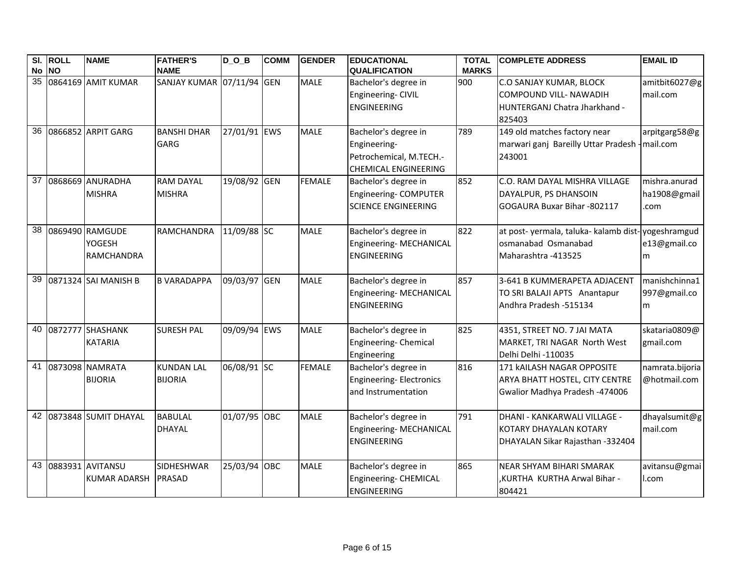|    | SI. ROLL<br>No NO | <b>NAME</b>                                    | <b>FATHER'S</b><br><b>NAME</b>      | DOB          | <b>COMM</b> | <b>GENDER</b> | <b>EDUCATIONAL</b><br><b>QUALIFICATION</b>                                                     | <b>TOTAL</b><br><b>MARKS</b> | <b>COMPLETE ADDRESS</b>                                                                                    | <b>EMAIL ID</b>                       |
|----|-------------------|------------------------------------------------|-------------------------------------|--------------|-------------|---------------|------------------------------------------------------------------------------------------------|------------------------------|------------------------------------------------------------------------------------------------------------|---------------------------------------|
| 35 |                   | 0864169 AMIT KUMAR                             | SANJAY KUMAR 07/11/94 GEN           |              |             | <b>MALE</b>   | Bachelor's degree in<br>Engineering-CIVIL<br><b>ENGINEERING</b>                                | 900                          | <b>C.O SANJAY KUMAR, BLOCK</b><br><b>COMPOUND VILL- NAWADIH</b><br>HUNTERGANJ Chatra Jharkhand -<br>825403 | amitbit6027@g<br>mail.com             |
|    |                   | 36 0866852 ARPIT GARG                          | <b>BANSHI DHAR</b><br><b>GARG</b>   | 27/01/91 EWS |             | <b>MALE</b>   | Bachelor's degree in<br>Engineering-<br>Petrochemical, M.TECH.-<br><b>CHEMICAL ENGINEERING</b> | 789                          | 149 old matches factory near<br>marwari ganj Bareilly Uttar Pradesh - mail.com<br>243001                   | arpitgarg58@g                         |
|    |                   | 37 0868669 ANURADHA<br><b>MISHRA</b>           | <b>RAM DAYAL</b><br><b>MISHRA</b>   | 19/08/92 GEN |             | <b>FEMALE</b> | Bachelor's degree in<br>Engineering- COMPUTER<br><b>SCIENCE ENGINEERING</b>                    | 852                          | C.O. RAM DAYAL MISHRA VILLAGE<br>DAYALPUR, PS DHANSOIN<br>GOGAURA Buxar Bihar -802117                      | mishra.anurad<br>ha1908@gmail<br>.com |
| 38 |                   | 0869490 RAMGUDE<br>YOGESH<br><b>RAMCHANDRA</b> | <b>RAMCHANDRA</b>                   | 11/09/88 SC  |             | <b>MALE</b>   | Bachelor's degree in<br>Engineering-MECHANICAL<br><b>ENGINEERING</b>                           | 822                          | at post- yermala, taluka- kalamb dist-yogeshramgud<br>osmanabad Osmanabad<br>Maharashtra - 413525          | e13@gmail.co<br>m                     |
| 39 |                   | 0871324 SAI MANISH B                           | <b>B VARADAPPA</b>                  | 09/03/97 GEN |             | <b>MALE</b>   | Bachelor's degree in<br>Engineering- MECHANICAL<br><b>ENGINEERING</b>                          | 857                          | 3-641 B KUMMERAPETA ADJACENT<br>TO SRI BALAJI APTS Anantapur<br>Andhra Pradesh -515134                     | manishchinna1<br>997@gmail.co<br>m    |
| 40 |                   | 0872777 SHASHANK<br><b>KATARIA</b>             | <b>SURESH PAL</b>                   | 09/09/94 EWS |             | <b>MALE</b>   | Bachelor's degree in<br>Engineering- Chemical<br>Engineering                                   | 825                          | 4351, STREET NO. 7 JAI MATA<br>MARKET, TRI NAGAR North West<br>Delhi Delhi -110035                         | skataria0809@<br>gmail.com            |
|    |                   | 41 0873098 NAMRATA<br><b>BIJORIA</b>           | <b>KUNDAN LAL</b><br><b>BIJORIA</b> | 06/08/91 SC  |             | <b>FEMALE</b> | Bachelor's degree in<br>Engineering-Electronics<br>and Instrumentation                         | 816                          | 171 kAILASH NAGAR OPPOSITE<br>ARYA BHATT HOSTEL, CITY CENTRE<br>Gwalior Madhya Pradesh -474006             | namrata.bijoria<br>@hotmail.com       |
|    |                   | 42 0873848 SUMIT DHAYAL                        | <b>BABULAL</b><br><b>DHAYAL</b>     | 01/07/95 OBC |             | <b>MALE</b>   | Bachelor's degree in<br>Engineering- MECHANICAL<br><b>ENGINEERING</b>                          | 791                          | DHANI - KANKARWALI VILLAGE -<br>KOTARY DHAYALAN KOTARY<br>DHAYALAN Sikar Rajasthan -332404                 | dhayalsumit@g<br>mail.com             |
|    |                   | 43 0883931 AVITANSU<br><b>KUMAR ADARSH</b>     | <b>SIDHESHWAR</b><br><b>PRASAD</b>  | 25/03/94 OBC |             | <b>MALE</b>   | Bachelor's degree in<br>Engineering- CHEMICAL<br><b>ENGINEERING</b>                            | 865                          | <b>NEAR SHYAM BIHARI SMARAK</b><br>,KURTHA KURTHA Arwal Bihar -<br>804421                                  | avitansu@gmai<br>I.com                |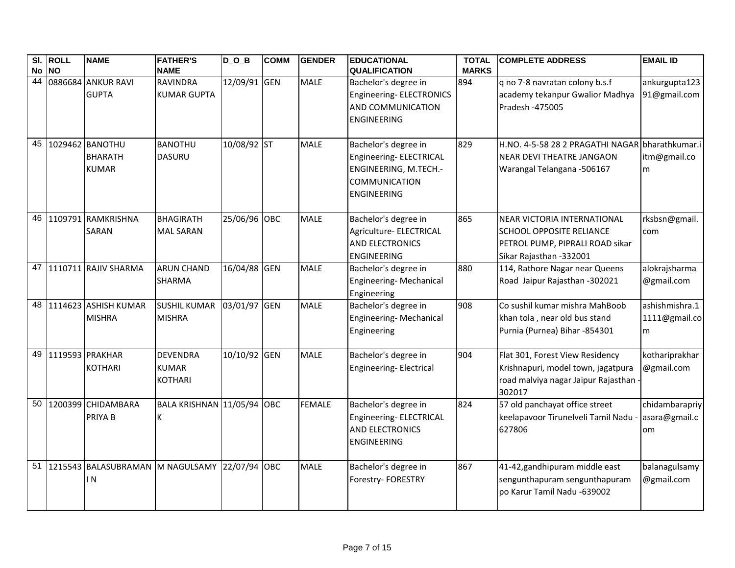|          | SI. ROLL  | <b>NAME</b>                                        | <b>FATHER'S</b>                                   | $D_$ $D_$ $B$ | <b>COMM</b> | <b>GENDER</b> | <b>EDUCATIONAL</b>                                                                                              | <b>TOTAL</b> | <b>ICOMPLETE ADDRESS</b>                                                                                                            | <b>EMAIL ID</b>                       |
|----------|-----------|----------------------------------------------------|---------------------------------------------------|---------------|-------------|---------------|-----------------------------------------------------------------------------------------------------------------|--------------|-------------------------------------------------------------------------------------------------------------------------------------|---------------------------------------|
| No<br>44 | <b>NO</b> |                                                    | <b>NAME</b>                                       |               |             |               | <b>QUALIFICATION</b>                                                                                            | <b>MARKS</b> |                                                                                                                                     |                                       |
|          |           | 0886684 ANKUR RAVI<br><b>GUPTA</b>                 | <b>RAVINDRA</b><br><b>KUMAR GUPTA</b>             | 12/09/91 GEN  |             | <b>MALE</b>   | Bachelor's degree in<br>Engineering- ELECTRONICS<br>AND COMMUNICATION<br><b>ENGINEERING</b>                     | 894          | q no 7-8 navratan colony b.s.f<br>academy tekanpur Gwalior Madhya<br>Pradesh -475005                                                | ankurgupta123<br>91@gmail.com         |
| 45       |           | 1029462 BANOTHU<br><b>BHARATH</b><br><b>KUMAR</b>  | <b>BANOTHU</b><br><b>DASURU</b>                   | 10/08/92 ST   |             | <b>MALE</b>   | Bachelor's degree in<br>Engineering- ELECTRICAL<br>ENGINEERING, M.TECH.-<br>COMMUNICATION<br><b>ENGINEERING</b> | 829          | H.NO. 4-5-58 28 2 PRAGATHI NAGAR bharathkumar.i<br>NEAR DEVI THEATRE JANGAON<br>Warangal Telangana -506167                          | itm@gmail.co<br>m                     |
| 46       |           | 1109791 RAMKRISHNA<br><b>SARAN</b>                 | <b>BHAGIRATH</b><br><b>MAL SARAN</b>              | 25/06/96 OBC  |             | <b>MALE</b>   | Bachelor's degree in<br>Agriculture- ELECTRICAL<br><b>AND ELECTRONICS</b><br><b>ENGINEERING</b>                 | 865          | <b>NEAR VICTORIA INTERNATIONAL</b><br><b>SCHOOL OPPOSITE RELIANCE</b><br>PETROL PUMP, PIPRALI ROAD sikar<br>Sikar Rajasthan -332001 | rksbsn@gmail.<br>com                  |
|          |           | 47 1110711 RAJIV SHARMA                            | <b>ARUN CHAND</b><br><b>SHARMA</b>                | 16/04/88 GEN  |             | <b>MALE</b>   | Bachelor's degree in<br>Engineering-Mechanical<br>Engineering                                                   | 880          | 114, Rathore Nagar near Queens<br>Road Jaipur Rajasthan -302021                                                                     | alokrajsharma<br>@gmail.com           |
| 48       |           | 1114623 ASHISH KUMAR<br><b>MISHRA</b>              | <b>SUSHIL KUMAR</b><br><b>MISHRA</b>              | 03/01/97 GEN  |             | <b>MALE</b>   | Bachelor's degree in<br>Engineering-Mechanical<br>Engineering                                                   | 908          | Co sushil kumar mishra MahBoob<br>khan tola, near old bus stand<br>Purnia (Purnea) Bihar -854301                                    | ashishmishra.1<br>1111@gmail.co<br>m  |
| 49       |           | 1119593 PRAKHAR<br><b>KOTHARI</b>                  | <b>DEVENDRA</b><br><b>KUMAR</b><br><b>KOTHARI</b> | 10/10/92 GEN  |             | <b>MALE</b>   | Bachelor's degree in<br>Engineering- Electrical                                                                 | 904          | Flat 301, Forest View Residency<br>Krishnapuri, model town, jagatpura<br>road malviya nagar Jaipur Rajasthan -<br>302017            | kothariprakhar<br>@gmail.com          |
| 50       |           | 1200399 CHIDAMBARA<br>PRIYA B                      | BALA KRISHNAN 11/05/94 OBC<br>K                   |               |             | <b>FEMALE</b> | Bachelor's degree in<br>Engineering- ELECTRICAL<br><b>AND ELECTRONICS</b><br><b>ENGINEERING</b>                 | 824          | 57 old panchayat office street<br>keelapavoor Tirunelveli Tamil Nadu<br>627806                                                      | chidambarapriy<br>asara@gmail.c<br>om |
| 51       |           | 1215543 BALASUBRAMAN M NAGULSAMY 22/07/94 OBC<br>N |                                                   |               |             | <b>MALE</b>   | Bachelor's degree in<br>Forestry- FORESTRY                                                                      | 867          | 41-42, gandhipuram middle east<br>sengunthapuram sengunthapuram<br>po Karur Tamil Nadu -639002                                      | balanagulsamy<br>@gmail.com           |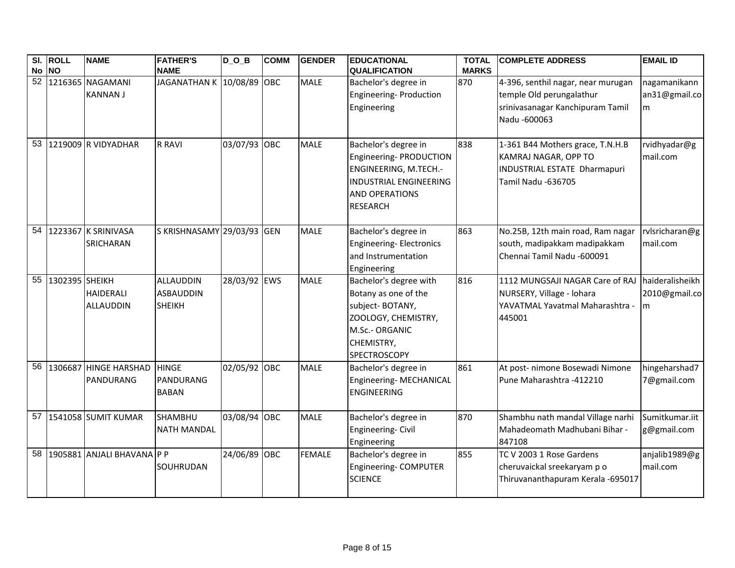|    | SI. ROLL       | <b>NAME</b>                         | <b>FATHER'S</b>                                       | $D_$ $D_$ $B$ | <b>COMM</b> | <b>GENDER</b> | <b>EDUCATIONAL</b>                                                                                                                              | <b>TOTAL</b> | <b>COMPLETE ADDRESS</b>                                                                                            | <b>EMAIL ID</b>                        |
|----|----------------|-------------------------------------|-------------------------------------------------------|---------------|-------------|---------------|-------------------------------------------------------------------------------------------------------------------------------------------------|--------------|--------------------------------------------------------------------------------------------------------------------|----------------------------------------|
|    | No NO          |                                     | <b>NAME</b>                                           |               |             |               | <b>QUALIFICATION</b>                                                                                                                            | <b>MARKS</b> |                                                                                                                    |                                        |
| 52 |                | 1216365 NAGAMANI<br><b>KANNAN J</b> | JAGANATHAN K 10/08/89 OBC                             |               |             | <b>MALE</b>   | Bachelor's degree in<br>Engineering- Production<br>Engineering                                                                                  | 870          | 4-396, senthil nagar, near murugan<br>temple Old perungalathur<br>srinivasanagar Kanchipuram Tamil<br>Nadu -600063 | nagamanikann<br>an31@gmail.co<br>m     |
| 53 |                | 1219009 R VIDYADHAR                 | <b>R RAVI</b>                                         | 03/07/93 OBC  |             | <b>MALE</b>   | Bachelor's degree in<br>Engineering-PRODUCTION<br>ENGINEERING, M.TECH.-<br>INDUSTRIAL ENGINEERING<br><b>AND OPERATIONS</b><br><b>RESEARCH</b>   | 838          | 1-361 B44 Mothers grace, T.N.H.B<br>KAMRAJ NAGAR, OPP TO<br>INDUSTRIAL ESTATE Dharmapuri<br>Tamil Nadu -636705     | rvidhyadar@g<br>mail.com               |
|    |                | 54 1223367 K SRINIVASA<br>SRICHARAN | S KRISHNASAMY 29/03/93 GEN                            |               |             | <b>MALE</b>   | Bachelor's degree in<br><b>Engineering-Electronics</b><br>and Instrumentation<br>Engineering                                                    | 863          | No.25B, 12th main road, Ram nagar<br>south, madipakkam madipakkam<br>Chennai Tamil Nadu -600091                    | rvlsricharan@g<br>mail.com             |
| 55 | 1302395 SHEIKH | HAIDERALI<br>ALLAUDDIN              | <b>ALLAUDDIN</b><br><b>ASBAUDDIN</b><br><b>SHEIKH</b> | 28/03/92 EWS  |             | <b>MALE</b>   | Bachelor's degree with<br>Botany as one of the<br>subject-BOTANY,<br>ZOOLOGY, CHEMISTRY,<br>M.Sc.- ORGANIC<br>CHEMISTRY,<br><b>SPECTROSCOPY</b> | 816          | 1112 MUNGSAJI NAGAR Care of RAJ<br>NURSERY, Village - Iohara<br>YAVATMAL Yavatmal Maharashtra<br>445001            | haideralisheikh<br>2010@gmail.co<br>Im |
| 56 |                | 1306687 HINGE HARSHAD<br>PANDURANG  | <b>HINGE</b><br>PANDURANG<br><b>BABAN</b>             | 02/05/92 OBC  |             | <b>MALE</b>   | Bachelor's degree in<br>Engineering-MECHANICAL<br><b>ENGINEERING</b>                                                                            | 861          | At post- nimone Bosewadi Nimone<br>Pune Maharashtra -412210                                                        | hingeharshad7<br>7@gmail.com           |
| 57 |                | <b>1541058 SUMIT KUMAR</b>          | <b>SHAMBHU</b><br><b>NATH MANDAL</b>                  | 03/08/94 OBC  |             | <b>MALE</b>   | Bachelor's degree in<br>Engineering-Civil<br>Engineering                                                                                        | 870          | Shambhu nath mandal Village narhi<br>Mahadeomath Madhubani Bihar -<br>847108                                       | Sumitkumar.iit<br>g@gmail.com          |
| 58 |                | 1905881 ANJALI BHAVANA P P          | SOUHRUDAN                                             | 24/06/89 OBC  |             | <b>FEMALE</b> | Bachelor's degree in<br>Engineering- COMPUTER<br><b>SCIENCE</b>                                                                                 | 855          | TC V 2003 1 Rose Gardens<br>cheruvaickal sreekaryam p o<br>Thiruvananthapuram Kerala -695017                       | anjalib1989@g<br>mail.com              |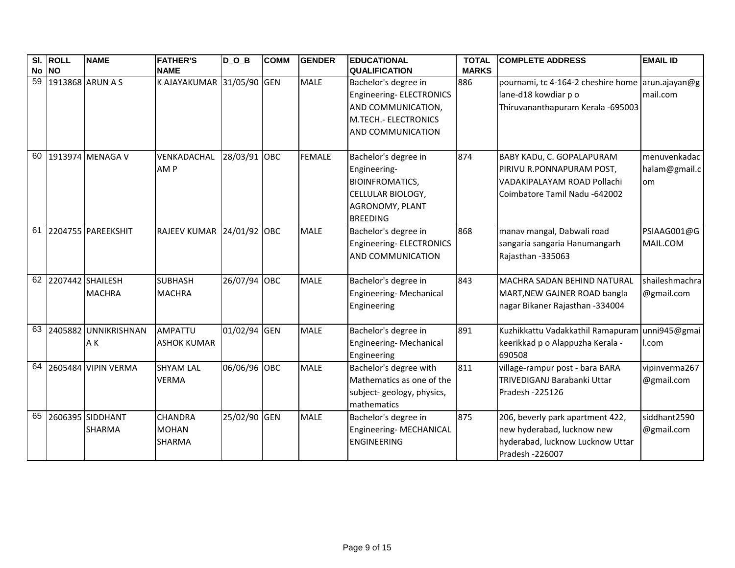|             | SI. ROLL | <b>NAME</b>          | <b>FATHER'S</b>           | $D_0_B$      | <b>COMM</b> | <b>GENDER</b> | <b>EDUCATIONAL</b>          | <b>TOTAL</b> | <b>COMPLETE ADDRESS</b>                          | <b>EMAIL ID</b> |
|-------------|----------|----------------------|---------------------------|--------------|-------------|---------------|-----------------------------|--------------|--------------------------------------------------|-----------------|
| No NO<br>59 |          | 1913868 ARUN A S     | <b>NAME</b>               |              |             |               | <b>QUALIFICATION</b>        | <b>MARKS</b> |                                                  |                 |
|             |          |                      | K AJAYAKUMAR 31/05/90 GEN |              |             | <b>MALE</b>   | Bachelor's degree in        | 886          | pournami, tc 4-164-2 cheshire home arun.ajayan@g |                 |
|             |          |                      |                           |              |             |               | Engineering-ELECTRONICS     |              | lane-d18 kowdiar p o                             | mail.com        |
|             |          |                      |                           |              |             |               | AND COMMUNICATION,          |              | Thiruvananthapuram Kerala -695003                |                 |
|             |          |                      |                           |              |             |               | <b>M.TECH.- ELECTRONICS</b> |              |                                                  |                 |
|             |          |                      |                           |              |             |               | AND COMMUNICATION           |              |                                                  |                 |
| 60          |          | 1913974 MENAGA V     | VENKADACHAL               | 28/03/91 OBC |             | <b>FEMALE</b> | Bachelor's degree in        | 874          | BABY KADu, C. GOPALAPURAM                        | menuvenkadac    |
|             |          |                      | AM <sub>P</sub>           |              |             |               | Engineering-                |              | PIRIVU R.PONNAPURAM POST,                        | halam@gmail.c   |
|             |          |                      |                           |              |             |               | <b>BIOINFROMATICS,</b>      |              | VADAKIPALAYAM ROAD Pollachi                      | om              |
|             |          |                      |                           |              |             |               | CELLULAR BIOLOGY,           |              | Coimbatore Tamil Nadu -642002                    |                 |
|             |          |                      |                           |              |             |               | AGRONOMY, PLANT             |              |                                                  |                 |
|             |          |                      |                           |              |             |               | <b>BREEDING</b>             |              |                                                  |                 |
| 61          |          | 2204755 PAREEKSHIT   | <b>RAJEEV KUMAR</b>       | 24/01/92 OBC |             | <b>MALE</b>   | Bachelor's degree in        | 868          | manav mangal, Dabwali road                       | PSIAAG001@G     |
|             |          |                      |                           |              |             |               | Engineering-ELECTRONICS     |              | sangaria sangaria Hanumangarh                    | MAIL.COM        |
|             |          |                      |                           |              |             |               | AND COMMUNICATION           |              | Rajasthan -335063                                |                 |
|             |          |                      |                           |              |             |               |                             |              |                                                  | shaileshmachra  |
|             |          | 62 2207442 SHAILESH  | <b>SUBHASH</b>            | 26/07/94 OBC |             | <b>MALE</b>   | Bachelor's degree in        | 843          | <b>MACHRA SADAN BEHIND NATURAL</b>               |                 |
|             |          | <b>MACHRA</b>        | <b>MACHRA</b>             |              |             |               | Engineering-Mechanical      |              | MART, NEW GAJNER ROAD bangla                     | @gmail.com      |
|             |          |                      |                           |              |             |               | Engineering                 |              | nagar Bikaner Rajasthan -334004                  |                 |
| 63          |          | 2405882 UNNIKRISHNAN | <b>AMPATTU</b>            | 01/02/94 GEN |             | <b>MALE</b>   | Bachelor's degree in        | 891          | Kuzhikkattu Vadakkathil Ramapuram unni945@gmai   |                 |
|             |          | AK                   | <b>ASHOK KUMAR</b>        |              |             |               | Engineering-Mechanical      |              | keerikkad p o Alappuzha Kerala -                 | I.com           |
|             |          |                      |                           |              |             |               | Engineering                 |              | 690508                                           |                 |
| 64          |          | 2605484 VIPIN VERMA  | <b>SHYAM LAL</b>          | 06/06/96 OBC |             | <b>MALE</b>   | Bachelor's degree with      | 811          | village-rampur post - bara BARA                  | vipinverma267   |
|             |          |                      | <b>VERMA</b>              |              |             |               | Mathematics as one of the   |              | TRIVEDIGANJ Barabanki Uttar                      | @gmail.com      |
|             |          |                      |                           |              |             |               | subject-geology, physics,   |              | Pradesh -225126                                  |                 |
|             |          |                      |                           |              |             |               | mathematics                 |              |                                                  |                 |
| 65          |          | 2606395 SIDDHANT     | <b>CHANDRA</b>            | 25/02/90 GEN |             | <b>MALE</b>   | Bachelor's degree in        | 875          | 206, beverly park apartment 422,                 | siddhant2590    |
|             |          | <b>SHARMA</b>        | <b>MOHAN</b>              |              |             |               | Engineering-MECHANICAL      |              | new hyderabad, lucknow new                       | @gmail.com      |
|             |          |                      | <b>SHARMA</b>             |              |             |               | <b>ENGINEERING</b>          |              | hyderabad, lucknow Lucknow Uttar                 |                 |
|             |          |                      |                           |              |             |               |                             |              | Pradesh - 226007                                 |                 |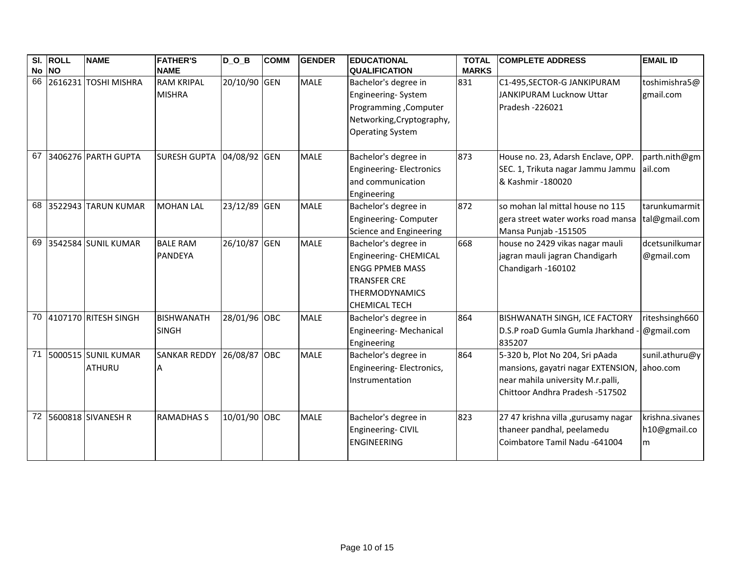|    | SI. ROLL<br>No NO | <b>NAME</b>                             | <b>FATHER'S</b><br><b>NAME</b>     | $D_0_B$      | <b>COMM</b> | <b>GENDER</b> | <b>EDUCATIONAL</b><br><b>QUALIFICATION</b>                                                                                                      | <b>TOTAL</b><br><b>MARKS</b> | <b>COMPLETE ADDRESS</b>                                                                                                                       | <b>EMAIL ID</b>                      |
|----|-------------------|-----------------------------------------|------------------------------------|--------------|-------------|---------------|-------------------------------------------------------------------------------------------------------------------------------------------------|------------------------------|-----------------------------------------------------------------------------------------------------------------------------------------------|--------------------------------------|
| 66 |                   | 2616231 TOSHI MISHRA                    | <b>RAM KRIPAL</b><br><b>MISHRA</b> | 20/10/90 GEN |             | <b>MALE</b>   | Bachelor's degree in<br>Engineering-System<br>Programming , Computer<br>Networking, Cryptography,<br><b>Operating System</b>                    | 831                          | C1-495, SECTOR-G JANKIPURAM<br>JANKIPURAM Lucknow Uttar<br>Pradesh - 226021                                                                   | toshimishra5@<br>gmail.com           |
| 67 |                   | 3406276 PARTH GUPTA                     | <b>SURESH GUPTA</b>                | 04/08/92 GEN |             | <b>MALE</b>   | Bachelor's degree in<br>Engineering-Electronics<br>and communication<br>Engineering                                                             | 873                          | House no. 23, Adarsh Enclave, OPP.<br>SEC. 1, Trikuta nagar Jammu Jammu<br>& Kashmir -180020                                                  | parth.nith@gm<br>ail.com             |
|    |                   | 68 3522943 TARUN KUMAR                  | <b>MOHAN LAL</b>                   | 23/12/89 GEN |             | <b>MALE</b>   | Bachelor's degree in<br>Engineering-Computer<br>Science and Engineering                                                                         | 872                          | so mohan lal mittal house no 115<br>gera street water works road mansa<br>Mansa Punjab -151505                                                | tarunkumarmit<br>tal@gmail.com       |
| 69 |                   | 3542584 SUNIL KUMAR                     | <b>BALE RAM</b><br>PANDEYA         | 26/10/87 GEN |             | <b>MALE</b>   | Bachelor's degree in<br>Engineering- CHEMICAL<br><b>ENGG PPMEB MASS</b><br><b>TRANSFER CRE</b><br><b>THERMODYNAMICS</b><br><b>CHEMICAL TECH</b> | 668                          | house no 2429 vikas nagar mauli<br>jagran mauli jagran Chandigarh<br>Chandigarh -160102                                                       | dcetsunilkumar<br>@gmail.com         |
|    |                   | 70 4107170 RITESH SINGH                 | <b>BISHWANATH</b><br><b>SINGH</b>  | 28/01/96 OBC |             | <b>MALE</b>   | Bachelor's degree in<br>Engineering-Mechanical<br>Engineering                                                                                   | 864                          | <b>BISHWANATH SINGH, ICE FACTORY</b><br>D.S.P roaD Gumla Gumla Jharkhand - @gmail.com<br>835207                                               | riteshsingh660                       |
|    |                   | 71 5000515 SUNIL KUMAR<br><b>ATHURU</b> | <b>SANKAR REDDY</b>                | 26/08/87 OBC |             | <b>MALE</b>   | Bachelor's degree in<br>Engineering-Electronics,<br>Instrumentation                                                                             | 864                          | 5-320 b, Plot No 204, Sri pAada<br>mansions, gayatri nagar EXTENSION,<br>near mahila university M.r.palli,<br>Chittoor Andhra Pradesh -517502 | sunil.athuru@y<br>. lahoo.com        |
| 72 |                   | 5600818 SIVANESH R                      | <b>RAMADHAS S</b>                  | 10/01/90 OBC |             | <b>MALE</b>   | Bachelor's degree in<br>Engineering- CIVIL<br><b>ENGINEERING</b>                                                                                | 823                          | 27 47 krishna villa , gurusamy nagar<br>thaneer pandhal, peelamedu<br>Coimbatore Tamil Nadu -641004                                           | krishna.sivanes<br>h10@gmail.co<br>m |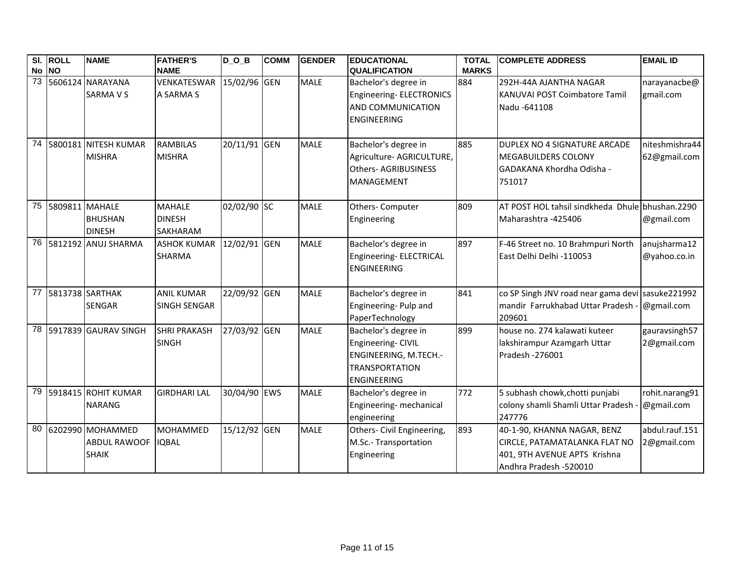|                 | SI. ROLL<br>No NO | <b>NAME</b>                                             | <b>FATHER'S</b><br><b>NAME</b>                    | $D_0_B$      | <b>COMM</b> | <b>GENDER</b> | <b>EDUCATIONAL</b><br><b>QUALIFICATION</b>                                                                         | <b>TOTAL</b><br><b>MARKS</b> | <b>COMPLETE ADDRESS</b>                                                                                                | <b>EMAIL ID</b>                |
|-----------------|-------------------|---------------------------------------------------------|---------------------------------------------------|--------------|-------------|---------------|--------------------------------------------------------------------------------------------------------------------|------------------------------|------------------------------------------------------------------------------------------------------------------------|--------------------------------|
| $\overline{73}$ |                   | 5606124 NARAYANA<br><b>SARMA V S</b>                    | VENKATESWAR<br>A SARMA S                          | 15/02/96 GEN |             | <b>MALE</b>   | Bachelor's degree in<br>Engineering-ELECTRONICS<br>AND COMMUNICATION<br><b>ENGINEERING</b>                         | 884                          | 292H-44A AJANTHA NAGAR<br><b>KANUVAI POST Coimbatore Tamil</b><br>Nadu -641108                                         | narayanacbe@<br>gmail.com      |
| 74              |                   | 5800181 NITESH KUMAR<br><b>MISHRA</b>                   | <b>RAMBILAS</b><br><b>MISHRA</b>                  | 20/11/91 GEN |             | <b>MALE</b>   | Bachelor's degree in<br>Agriculture- AGRICULTURE,<br><b>Others-AGRIBUSINESS</b><br>MANAGEMENT                      | 885                          | DUPLEX NO 4 SIGNATURE ARCADE<br><b>MEGABUILDERS COLONY</b><br>GADAKANA Khordha Odisha -<br>751017                      | niteshmishra44<br>62@gmail.com |
| 75              | 5809811 MAHALE    | <b>BHUSHAN</b><br><b>DINESH</b>                         | <b>MAHALE</b><br><b>DINESH</b><br><b>SAKHARAM</b> | 02/02/90 SC  |             | <b>MALE</b>   | Others- Computer<br>Engineering                                                                                    | 809                          | AT POST HOL tahsil sindkheda Dhule bhushan.2290<br>Maharashtra -425406                                                 | @gmail.com                     |
| 76              |                   | 5812192 ANUJ SHARMA                                     | <b>ASHOK KUMAR</b><br><b>SHARMA</b>               | 12/02/91 GEN |             | <b>MALE</b>   | Bachelor's degree in<br>Engineering- ELECTRICAL<br><b>ENGINEERING</b>                                              | 897                          | F-46 Street no. 10 Brahmpuri North<br>East Delhi Delhi -110053                                                         | anujsharma12<br>@yahoo.co.in   |
| 77              | 5813738 SARTHAK   | <b>SENGAR</b>                                           | <b>ANIL KUMAR</b><br><b>SINGH SENGAR</b>          | 22/09/92 GEN |             | <b>MALE</b>   | Bachelor's degree in<br>Engineering- Pulp and<br>PaperTechnology                                                   | 841                          | co SP Singh JNV road near gama devi sasuke221992<br>mandir Farrukhabad Uttar Pradesh<br>209601                         | @gmail.com                     |
|                 |                   | 78 5917839 GAURAV SINGH                                 | <b>SHRI PRAKASH</b><br><b>SINGH</b>               | 27/03/92 GEN |             | <b>MALE</b>   | Bachelor's degree in<br>Engineering- CIVIL<br>ENGINEERING, M.TECH.-<br><b>TRANSPORTATION</b><br><b>ENGINEERING</b> | 899                          | house no. 274 kalawati kuteer<br>lakshirampur Azamgarh Uttar<br>Pradesh - 276001                                       | gauravsingh57<br>2@gmail.com   |
| 79              |                   | 5918415 ROHIT KUMAR<br><b>NARANG</b>                    | <b>GIRDHARI LAL</b>                               | 30/04/90 EWS |             | <b>MALE</b>   | Bachelor's degree in<br>Engineering- mechanical<br>engineering                                                     | 772                          | 5 subhash chowk, chotti punjabi<br>colony shamli Shamli Uttar Pradesh<br>247776                                        | rohit.narang91<br>@gmail.com   |
| 80              |                   | 6202990 MOHAMMED<br><b>ABDUL RAWOOF</b><br><b>SHAIK</b> | <b>MOHAMMED</b><br><b>IQBAL</b>                   | 15/12/92 GEN |             | <b>MALE</b>   | Others- Civil Engineering,<br>M.Sc.- Transportation<br>Engineering                                                 | 893                          | 40-1-90, KHANNA NAGAR, BENZ<br>CIRCLE, PATAMATALANKA FLAT NO<br>401, 9TH AVENUE APTS Krishna<br>Andhra Pradesh -520010 | abdul.rauf.151<br>2@gmail.com  |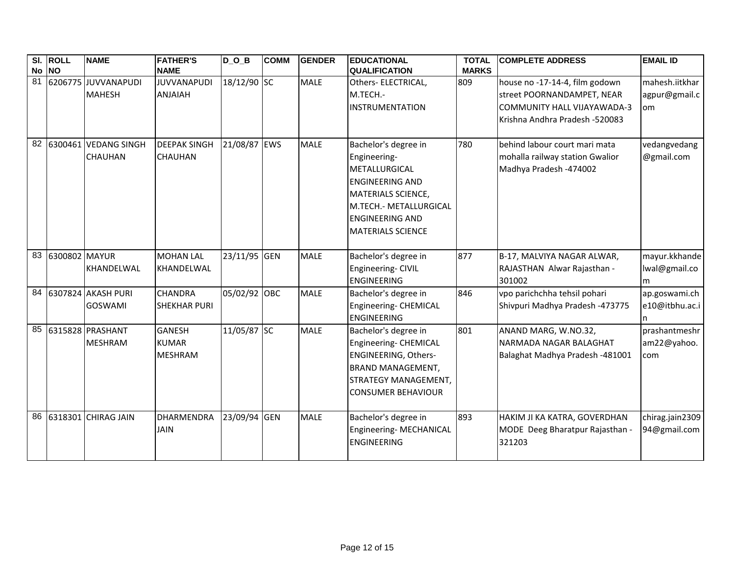|    | SI. ROLL<br>No NO | <b>NAME</b>                            | <b>FATHER'S</b><br><b>NAME</b>                  | $D_0_B$      | <b>COMM</b> | <b>GENDER</b> | <b>EDUCATIONAL</b><br><b>QUALIFICATION</b>                                                                                                                                            | <b>TOTAL</b><br><b>MARKS</b> | <b>COMPLETE ADDRESS</b>                                                                                                       | <b>EMAIL ID</b>                       |
|----|-------------------|----------------------------------------|-------------------------------------------------|--------------|-------------|---------------|---------------------------------------------------------------------------------------------------------------------------------------------------------------------------------------|------------------------------|-------------------------------------------------------------------------------------------------------------------------------|---------------------------------------|
| 81 |                   | 6206775 JUVVANAPUDI<br><b>MAHESH</b>   | <b>JUVVANAPUDI</b><br><b>ANJAIAH</b>            | 18/12/90 SC  |             | <b>MALE</b>   | Others- ELECTRICAL,<br>M.TECH.-<br><b>INSTRUMENTATION</b>                                                                                                                             | 809                          | house no -17-14-4, film godown<br>street POORNANDAMPET, NEAR<br>COMMUNITY HALL VIJAYAWADA-3<br>Krishna Andhra Pradesh -520083 | mahesh.iitkhar<br>agpur@gmail.c<br>om |
| 82 |                   | 6300461 VEDANG SINGH<br><b>CHAUHAN</b> | <b>DEEPAK SINGH</b><br><b>CHAUHAN</b>           | 21/08/87 EWS |             | <b>MALE</b>   | Bachelor's degree in<br>Engineering-<br>METALLURGICAL<br><b>ENGINEERING AND</b><br>MATERIALS SCIENCE,<br>M.TECH.- METALLURGICAL<br><b>ENGINEERING AND</b><br><b>MATERIALS SCIENCE</b> | 780                          | behind labour court mari mata<br>mohalla railway station Gwalior<br>Madhya Pradesh -474002                                    | vedangvedang<br>@gmail.com            |
|    | 83 6300802 MAYUR  | <b>KHANDELWAL</b>                      | <b>MOHAN LAL</b><br>KHANDELWAL                  | 23/11/95 GEN |             | <b>MALE</b>   | Bachelor's degree in<br>Engineering- CIVIL<br><b>ENGINEERING</b>                                                                                                                      | 877                          | B-17, MALVIYA NAGAR ALWAR,<br>RAJASTHAN Alwar Rajasthan -<br>301002                                                           | mayur.kkhande<br>lwal@gmail.co<br>m   |
| 84 |                   | 6307824 AKASH PURI<br><b>GOSWAMI</b>   | CHANDRA<br><b>SHEKHAR PURI</b>                  | 05/02/92 OBC |             | <b>MALE</b>   | Bachelor's degree in<br>Engineering- CHEMICAL<br><b>ENGINEERING</b>                                                                                                                   | 846                          | vpo parichchha tehsil pohari<br>Shivpuri Madhya Pradesh -473775                                                               | ap.goswami.ch<br>e10@itbhu.ac.i       |
| 85 |                   | 6315828 PRASHANT<br><b>MESHRAM</b>     | <b>GANESH</b><br><b>KUMAR</b><br><b>MESHRAM</b> | 11/05/87 SC  |             | <b>MALE</b>   | Bachelor's degree in<br>Engineering- CHEMICAL<br><b>ENGINEERING, Others-</b><br><b>BRAND MANAGEMENT,</b><br>STRATEGY MANAGEMENT,<br><b>CONSUMER BEHAVIOUR</b>                         | 801                          | ANAND MARG, W.NO.32,<br>NARMADA NAGAR BALAGHAT<br>Balaghat Madhya Pradesh -481001                                             | prashantmeshr<br>am22@yahoo.<br>com   |
|    |                   | 86 6318301 CHIRAG JAIN                 | <b>DHARMENDRA</b><br><b>JAIN</b>                | 23/09/94 GEN |             | <b>MALE</b>   | Bachelor's degree in<br>Engineering-MECHANICAL<br><b>ENGINEERING</b>                                                                                                                  | 893                          | HAKIM JI KA KATRA, GOVERDHAN<br>MODE Deeg Bharatpur Rajasthan -<br>321203                                                     | chirag.jain2309<br>94@gmail.com       |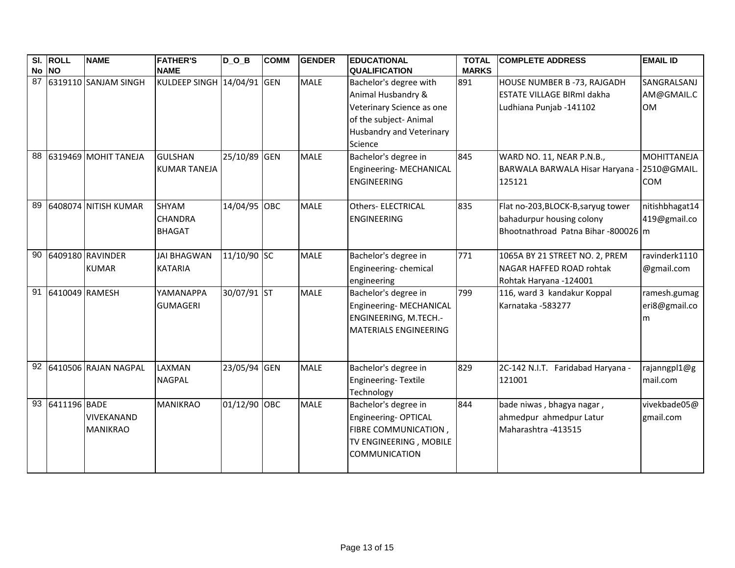|    | SI. ROLL<br>No NO | <b>NAME</b>                      | <b>FATHER'S</b><br><b>NAME</b>           | $D_$ $D_$ $B$ | <b>COMM</b> | <b>GENDER</b> | <b>EDUCATIONAL</b><br><b>QUALIFICATION</b>                                                                                                        | <b>TOTAL</b><br><b>MARKS</b> | <b>COMPLETE ADDRESS</b>                                                                               | <b>EMAIL ID</b>                          |
|----|-------------------|----------------------------------|------------------------------------------|---------------|-------------|---------------|---------------------------------------------------------------------------------------------------------------------------------------------------|------------------------------|-------------------------------------------------------------------------------------------------------|------------------------------------------|
| 87 |                   | 6319110 SANJAM SINGH             | KULDEEP SINGH 14/04/91 GEN               |               |             | <b>MALE</b>   | Bachelor's degree with<br>Animal Husbandry &<br>Veterinary Science as one<br>of the subject- Animal<br><b>Husbandry and Veterinary</b><br>Science | 891                          | HOUSE NUMBER B-73, RAJGADH<br><b>ESTATE VILLAGE BIRmI dakha</b><br>Ludhiana Punjab -141102            | SANGRALSANJ<br>AM@GMAIL.C<br><b>OM</b>   |
| 88 |                   | 6319469 MOHIT TANEJA             | <b>GULSHAN</b><br><b>KUMAR TANEJA</b>    | 25/10/89 GEN  |             | <b>MALE</b>   | Bachelor's degree in<br>Engineering- MECHANICAL<br><b>ENGINEERING</b>                                                                             | 845                          | WARD NO. 11, NEAR P.N.B.,<br><b>BARWALA BARWALA Hisar Haryana</b><br>125121                           | MOHITTANEJA<br>2510@GMAIL.<br><b>COM</b> |
| 89 |                   | 6408074 NITISH KUMAR             | SHYAM<br><b>CHANDRA</b><br><b>BHAGAT</b> | 14/04/95 OBC  |             | <b>MALE</b>   | <b>Others- ELECTRICAL</b><br><b>ENGINEERING</b>                                                                                                   | 835                          | Flat no-203, BLOCK-B, saryug tower<br>bahadurpur housing colony<br>Bhootnathroad Patna Bihar-800026 m | nitishbhagat14<br>419@gmail.co           |
| 90 |                   | 6409180 RAVINDER<br><b>KUMAR</b> | <b>JAI BHAGWAN</b><br><b>KATARIA</b>     | 11/10/90 SC   |             | <b>MALE</b>   | Bachelor's degree in<br>Engineering-chemical<br>engineering                                                                                       | 771                          | 1065A BY 21 STREET NO. 2, PREM<br>NAGAR HAFFED ROAD rohtak<br>Rohtak Haryana -124001                  | ravinderk1110<br>@gmail.com              |
| 91 | 6410049 RAMESH    |                                  | YAMANAPPA<br><b>GUMAGERI</b>             | 30/07/91 ST   |             | <b>MALE</b>   | Bachelor's degree in<br>Engineering-MECHANICAL<br>ENGINEERING, M.TECH.-<br><b>MATERIALS ENGINEERING</b>                                           | 799                          | 116, ward 3 kandakur Koppal<br>Karnataka -583277                                                      | ramesh.gumag<br>eri8@gmail.co<br>m       |
|    |                   | 92 6410506 RAJAN NAGPAL          | LAXMAN<br><b>NAGPAL</b>                  | 23/05/94 GEN  |             | <b>MALE</b>   | Bachelor's degree in<br>Engineering-Textile<br>Technology                                                                                         | 829                          | 2C-142 N.I.T. Faridabad Haryana -<br>121001                                                           | rajanngpl1@g<br>mail.com                 |
| 93 | 6411196 BADE      | VIVEKANAND<br><b>MANIKRAO</b>    | <b>MANIKRAO</b>                          | 01/12/90 OBC  |             | <b>MALE</b>   | Bachelor's degree in<br>Engineering-OPTICAL<br>FIBRE COMMUNICATION,<br>TV ENGINEERING, MOBILE<br><b>COMMUNICATION</b>                             | 844                          | bade niwas, bhagya nagar,<br>ahmedpur ahmedpur Latur<br>Maharashtra - 413515                          | vivekbade05@<br>gmail.com                |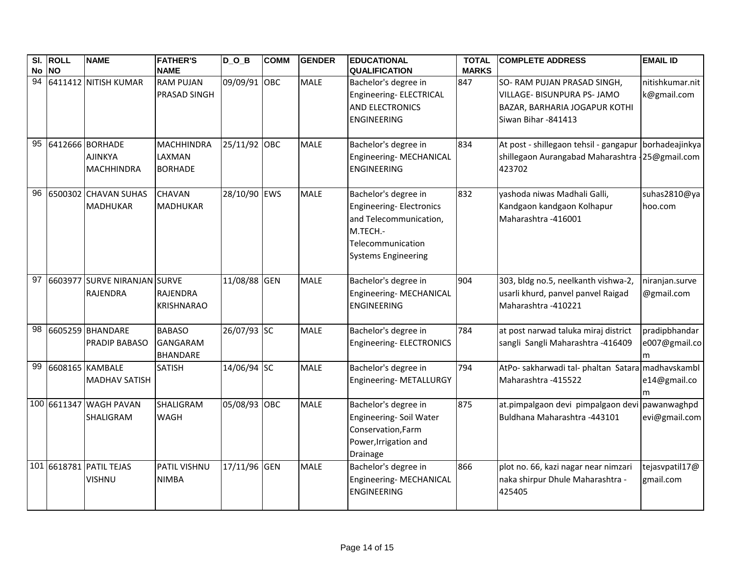|    | SI. ROLL  | <b>NAME</b>                                            | <b>FATHER'S</b>                                      | $D_0_B$      | <b>COMM</b> | <b>GENDER</b> | <b>EDUCATIONAL</b>                                                                                                                       | <b>TOTAL</b> | <b>COMPLETE ADDRESS</b>                                                                                            | <b>EMAIL ID</b>                     |
|----|-----------|--------------------------------------------------------|------------------------------------------------------|--------------|-------------|---------------|------------------------------------------------------------------------------------------------------------------------------------------|--------------|--------------------------------------------------------------------------------------------------------------------|-------------------------------------|
| No | <b>NO</b> |                                                        | <b>NAME</b>                                          |              |             |               | <b>QUALIFICATION</b>                                                                                                                     | <b>MARKS</b> |                                                                                                                    |                                     |
| 94 |           | 6411412 NITISH KUMAR                                   | <b>RAM PUJAN</b><br>PRASAD SINGH                     | 09/09/91 OBC |             | <b>MALE</b>   | Bachelor's degree in<br>Engineering- ELECTRICAL<br><b>AND ELECTRONICS</b><br><b>ENGINEERING</b>                                          | 847          | SO- RAM PUJAN PRASAD SINGH,<br>VILLAGE- BISUNPURA PS- JAMO<br>BAZAR, BARHARIA JOGAPUR KOTHI<br>Siwan Bihar -841413 | nitishkumar.nit<br>k@gmail.com      |
| 95 |           | 6412666 BORHADE<br><b>AJINKYA</b><br><b>MACHHINDRA</b> | <b>MACHHINDRA</b><br>LAXMAN<br><b>BORHADE</b>        | 25/11/92 OBC |             | <b>MALE</b>   | Bachelor's degree in<br>Engineering-MECHANICAL<br><b>ENGINEERING</b>                                                                     | 834          | At post - shillegaon tehsil - gangapur borhadeajinkya<br>shillegaon Aurangabad Maharashtra 125@gmail.com<br>423702 |                                     |
| 96 |           | 6500302 CHAVAN SUHAS<br><b>MADHUKAR</b>                | CHAVAN<br><b>MADHUKAR</b>                            | 28/10/90 EWS |             | <b>MALE</b>   | Bachelor's degree in<br>Engineering-Electronics<br>and Telecommunication,<br>M.TECH.-<br>Telecommunication<br><b>Systems Engineering</b> | 832          | yashoda niwas Madhali Galli,<br>Kandgaon kandgaon Kolhapur<br>Maharashtra -416001                                  | suhas2810@ya<br>hoo.com             |
| 97 |           | 6603977 SURVE NIRANJAN<br><b>RAJENDRA</b>              | <b>SURVE</b><br><b>RAJENDRA</b><br><b>KRISHNARAO</b> | 11/08/88 GEN |             | <b>MALE</b>   | Bachelor's degree in<br>Engineering- MECHANICAL<br><b>ENGINEERING</b>                                                                    | 904          | 303, bldg no.5, neelkanth vishwa-2,<br>usarli khurd, panvel panvel Raigad<br>Maharashtra -410221                   | niranjan.surve<br>@gmail.com        |
| 98 |           | 6605259 BHANDARE<br><b>PRADIP BABASO</b>               | <b>BABASO</b><br>GANGARAM<br><b>BHANDARE</b>         | 26/07/93 SC  |             | <b>MALE</b>   | Bachelor's degree in<br>Engineering-ELECTRONICS                                                                                          | 784          | at post narwad taluka miraj district<br>sangli Sangli Maharashtra -416409                                          | pradipbhandar<br>e007@gmail.co<br>m |
| 99 |           | 6608165 KAMBALE<br><b>MADHAV SATISH</b>                | <b>SATISH</b>                                        | 14/06/94 SC  |             | <b>MALE</b>   | Bachelor's degree in<br>Engineering- METALLURGY                                                                                          | 794          | AtPo- sakharwadi tal- phaltan Satara madhavskambl<br>Maharashtra - 415522                                          | e14@gmail.co<br>m                   |
|    |           | 100 6611347 WAGH PAVAN<br>SHALIGRAM                    | SHALIGRAM<br><b>WAGH</b>                             | 05/08/93 OBC |             | <b>MALE</b>   | Bachelor's degree in<br>Engineering- Soil Water<br>Conservation, Farm<br>Power, Irrigation and<br>Drainage                               | 875          | at.pimpalgaon devi pimpalgaon devi pawanwaghpd<br>Buldhana Maharashtra -443101                                     | evi@gmail.com                       |
|    |           | 101 6618781 PATIL TEJAS<br><b>VISHNU</b>               | PATIL VISHNU<br><b>NIMBA</b>                         | 17/11/96 GEN |             | <b>MALE</b>   | Bachelor's degree in<br>Engineering- MECHANICAL<br><b>ENGINEERING</b>                                                                    | 866          | plot no. 66, kazi nagar near nimzari<br>naka shirpur Dhule Maharashtra -<br>425405                                 | tejasvpatil17@<br>gmail.com         |